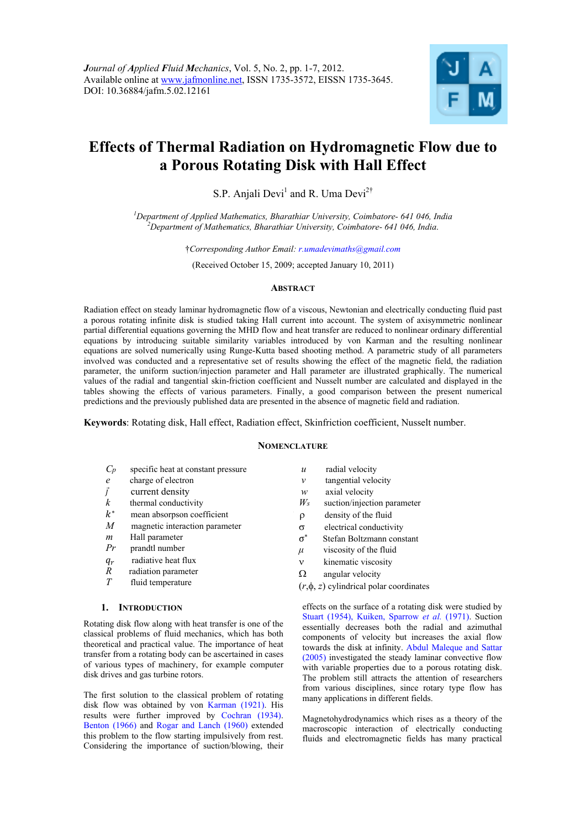

# **Effects of Thermal Radiation on Hydromagnetic Flow due to a Porous Rotating Disk with Hall Effect**

S.P. Anjali Devi<sup>1</sup> and R. Uma Devi<sup>2†</sup>

*1 Department of Applied Mathematics, Bharathiar University, Coimbatore- 641 046, India 2 Department of Mathematics, Bharathiar University, Coimbatore- 641 046, India*.

†*Corresponding Author Email: r.umadevimaths@gmail.com* 

(Received October 15, 2009; accepted January 10, 2011)

#### **ABSTRACT**

Radiation effect on steady laminar hydromagnetic flow of a viscous, Newtonian and electrically conducting fluid past a porous rotating infinite disk is studied taking Hall current into account. The system of axisymmetric nonlinear partial differential equations governing the MHD flow and heat transfer are reduced to nonlinear ordinary differential equations by introducing suitable similarity variables introduced by von Karman and the resulting nonlinear equations are solved numerically using Runge-Kutta based shooting method. A parametric study of all parameters involved was conducted and a representative set of results showing the effect of the magnetic field, the radiation parameter, the uniform suction/injection parameter and Hall parameter are illustrated graphically. The numerical values of the radial and tangential skin-friction coefficient and Nusselt number are calculated and displayed in the tables showing the effects of various parameters. Finally, a good comparison between the present numerical predictions and the previously published data are presented in the absence of magnetic field and radiation.

**Keywords**: Rotating disk, Hall effect, Radiation effect, Skinfriction coefficient, Nusselt number.

## **NOMENCLATURE**

- *Cp* specific heat at constant pressure
- *e* charge of electron
- $\vec{l}$  current density
- *k* thermal conductivity
- $k^*$  mean absorpson coefficient
- *M* magnetic interaction parameter
- *m* Hall parameter
- *Pr* prandtl number
- 
- $q_r$  radiative heat flux<br>  $R$  radiation parameter radiation parameter
- *T* fluid temperature

## **1. INTRODUCTION**

Rotating disk flow along with heat transfer is one of the classical problems of fluid mechanics, which has both theoretical and practical value. The importance of heat transfer from a rotating body can be ascertained in cases of various types of machinery, for example computer disk drives and gas turbine rotors.

The first solution to the classical problem of rotating disk flow was obtained by von Karman (1921). His results were further improved by Cochran (1934). Benton (1966) and Rogar and Lanch (1960) extended this problem to the flow starting impulsively from rest. Considering the importance of suction/blowing, their

- *u* radial velocity
- *v* tangential velocity
- *w* axial velocity
- *Ws* suction/injection parameter
- *I*  density of the fluid
- $\sigma$  electrical conductivity
- σכ Stefan Boltzmann constant
- *μ* viscosity of the fluid
- $v$  kinematic viscosity
- $\Omega$  angular velocity
- $(r, \phi, z)$  cylindrical polar coordinates

effects on the surface of a rotating disk were studied by Stuart (1954), Kuiken, Sparrow *et al.* (1971). Suction essentially decreases both the radial and azimuthal components of velocity but increases the axial flow towards the disk at infinity. Abdul Maleque and Sattar (2005) investigated the steady laminar convective flow with variable properties due to a porous rotating disk. The problem still attracts the attention of researchers from various disciplines, since rotary type flow has many applications in different fields.

Magnetohydrodynamics which rises as a theory of the macroscopic interaction of electrically conducting fluids and electromagnetic fields has many practical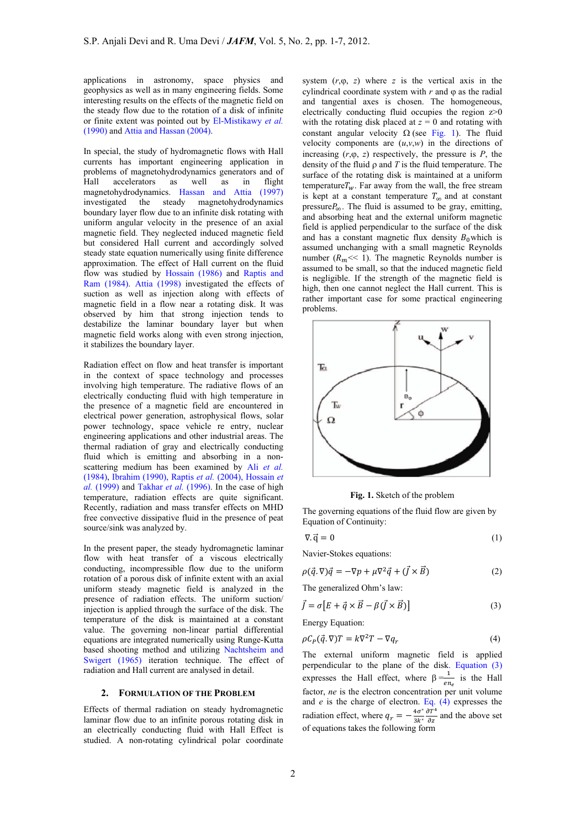applications in astronomy, space physics and geophysics as well as in many engineering fields. Some interesting results on the effects of the magnetic field on the steady flow due to the rotation of a disk of infinite or finite extent was pointed out by El-Mistikawy *et al.* (1990) and Attia and Hassan (2004).

In special, the study of hydromagnetic flows with Hall currents has important engineering application in problems of magnetohydrodynamics generators and of Hall accelerators as well as in flight magnetohydrodynamics. Hassan and Attia (1997) investigated the steady magnetohydrodynamics boundary layer flow due to an infinite disk rotating with uniform angular velocity in the presence of an axial magnetic field. They neglected induced magnetic field but considered Hall current and accordingly solved steady state equation numerically using finite difference approximation. The effect of Hall current on the fluid flow was studied by Hossain (1986) and Raptis and Ram (1984). Attia (1998) investigated the effects of suction as well as injection along with effects of magnetic field in a flow near a rotating disk. It was observed by him that strong injection tends to destabilize the laminar boundary layer but when magnetic field works along with even strong injection, it stabilizes the boundary layer.

Radiation effect on flow and heat transfer is important in the context of space technology and processes involving high temperature. The radiative flows of an electrically conducting fluid with high temperature in the presence of a magnetic field are encountered in electrical power generation, astrophysical flows, solar power technology, space vehicle re entry, nuclear engineering applications and other industrial areas. The thermal radiation of gray and electrically conducting fluid which is emitting and absorbing in a nonscattering medium has been examined by Ali *et al.* (1984), Ibrahim (1990), Raptis *et al.* (2004), Hossain *et al.* (1999) and Takhar *et al.* (1996). In the case of high temperature, radiation effects are quite significant. Recently, radiation and mass transfer effects on MHD free convective dissipative fluid in the presence of peat source/sink was analyzed by.

In the present paper, the steady hydromagnetic laminar flow with heat transfer of a viscous electrically conducting, incompressible flow due to the uniform rotation of a porous disk of infinite extent with an axial uniform steady magnetic field is analyzed in the presence of radiation effects. The uniform suction/ injection is applied through the surface of the disk. The temperature of the disk is maintained at a constant value. The governing non-linear partial differential equations are integrated numerically using Runge-Kutta based shooting method and utilizing Nachtsheim and Swigert (1965) iteration technique. The effect of radiation and Hall current are analysed in detail.

## **2. FORMULATION OF THE PROBLEM**

Effects of thermal radiation on steady hydromagnetic laminar flow due to an infinite porous rotating disk in an electrically conducting fluid with Hall Effect is studied. A non-rotating cylindrical polar coordinate

system  $(r, \varphi, z)$  where *z* is the vertical axis in the cylindrical coordinate system with  $r$  and  $\varphi$  as the radial and tangential axes is chosen. The homogeneous, electrically conducting fluid occupies the region  $z\geq 0$ with the rotating disk placed at  $z = 0$  and rotating with constant angular velocity  $\Omega$  (see Fig. 1). The fluid velocity components are  $(u, v, w)$  in the directions of increasing  $(r, \varphi, z)$  respectively, the pressure is  $P$ , the density of the fluid  $\rho$  and  $T$  is the fluid temperature. The surface of the rotating disk is maintained at a uniform temperature $T_w$ . Far away from the wall, the free stream is kept at a constant temperature  $T_{\infty}$  and at constant pressure $P_{\infty}$ . The fluid is assumed to be gray, emitting, and absorbing heat and the external uniform magnetic field is applied perpendicular to the surface of the disk and has a constant magnetic flux density  $B_0$  which is assumed unchanging with a small magnetic Reynolds number  $(R_m \ll 1)$ . The magnetic Reynolds number is assumed to be small, so that the induced magnetic field is negligible. If the strength of the magnetic field is high, then one cannot neglect the Hall current. This is rather important case for some practical engineering problems.



**Fig. 1.** Sketch of the problem

The governing equations of the fluid flow are given by Equation of Continuity:

$$
\nabla \cdot \vec{q} = 0 \tag{1}
$$

Navier-Stokes equations:

$$
\rho(\vec{q}.\nabla)\vec{q} = -\nabla p + \mu \nabla^2 \vec{q} + (\vec{J} \times \vec{B})
$$
\n(2)

The generalized Ohm's law:

$$
\vec{J} = \sigma \left[ E + \vec{q} \times \vec{B} - \beta(\vec{J} \times \vec{B}) \right]
$$
 (3)

Energy Equation:

$$
\rho C_P(\vec{q}, \nabla) T = k \nabla^2 T - \nabla q_r \tag{4}
$$

The external uniform magnetic field is applied perpendicular to the plane of the disk. Equation (3) expresses the Hall effect, where  $\beta = \frac{1}{en_e}$  is the Hall factor, *ne* is the electron concentration per unit volume and *e* is the charge of electron. Eq. (4) expresses the radiation effect, where  $q_r = -\frac{4\sigma^*}{3k^*}$  $\frac{\partial T^4}{\partial z}$  and the above set of equations takes the following form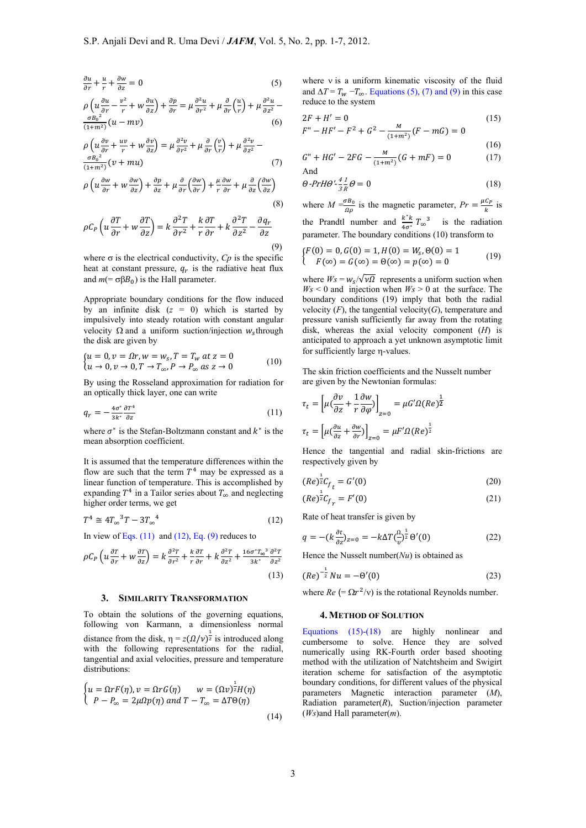$$
\frac{\partial u}{\partial r} + \frac{u}{r} + \frac{\partial w}{\partial z} = 0
$$
\n(5)

$$
\rho \left( u \frac{\partial u}{\partial r} - \frac{v^2}{r} + w \frac{\partial u}{\partial z} \right) + \frac{\partial p}{\partial r} = \mu \frac{\partial^2 u}{\partial r^2} + \mu \frac{\partial}{\partial r} \left( \frac{u}{r} \right) + \mu \frac{\partial^2 u}{\partial z^2} - \frac{\sigma B_0^2}{(1 + m^2)} (u - mv)
$$
\n(6)

$$
\rho \left( u \frac{\partial v}{\partial r} + \frac{uv}{r} + w \frac{\partial v}{\partial z} \right) = \mu \frac{\partial^2 v}{\partial r^2} + \mu \frac{\partial}{\partial r} \left( \frac{v}{r} \right) + \mu \frac{\partial^2 v}{\partial z^2} - \frac{\sigma B_0^2}{(1 + m^2)} (v + mu)
$$
\n(7)

$$
\rho \left( u \frac{\partial w}{\partial r} + w \frac{\partial w}{\partial z} \right) + \frac{\partial p}{\partial z} + \mu \frac{\partial}{\partial r} \left( \frac{\partial w}{\partial r} \right) + \frac{\mu}{r} \frac{\partial w}{\partial r} + \mu \frac{\partial}{\partial z} \left( \frac{\partial w}{\partial z} \right) \tag{8}
$$

$$
\rho C_P \left( u \frac{\partial T}{\partial r} + w \frac{\partial T}{\partial z} \right) = k \frac{\partial^2 T}{\partial r^2} + \frac{k}{r} \frac{\partial T}{\partial r} + k \frac{\partial^2 T}{\partial z^2} - \frac{\partial q_r}{\partial z} \tag{9}
$$

where  $\sigma$  is the electrical conductivity,  $C_p$  is the specific heat at constant pressure,  $q_r$  is the radiative heat flux and  $m (= \sigma \beta B_0)$  is the Hall parameter.

Appropriate boundary conditions for the flow induced by an infinite disk  $(z = 0)$  which is started by impulsively into steady rotation with constant angular velocity  $\Omega$  and a uniform suction/injection  $w<sub>s</sub>$ through the disk are given by

$$
\begin{cases} u = 0, v = \Omega r, w = w_s, T = T_w \text{ at } z = 0 \\ u \to 0, v \to 0, T \to T_{\infty}, P \to P_{\infty} \text{ as } z \to 0 \end{cases} \tag{10}
$$

By using the Rosseland approximation for radiation for an optically thick layer, one can write

$$
q_r = -\frac{4\sigma^*}{3k^*} \frac{\partial T^4}{\partial z} \tag{11}
$$

where  $\sigma^*$  is the Stefan-Boltzmann constant and  $k^*$  is the mean absorption coefficient.

It is assumed that the temperature differences within the flow are such that the term  $T<sup>4</sup>$  may be expressed as a linear function of temperature. This is accomplished by expanding  $T^4$  in a Tailor series about  $T_{\infty}$  and neglecting higher order terms, we get

$$
T^4 \cong 4T_{\infty}^3 T - 3T_{\infty}^4 \tag{12}
$$

In view of Eqs.  $(11)$  and  $(12)$ , Eq.  $(9)$  reduces to

$$
\rho C_P \left( u \frac{\partial \tau}{\partial r} + w \frac{\partial \tau}{\partial z} \right) = k \frac{\partial^2 \tau}{\partial r^2} + \frac{k}{r} \frac{\partial \tau}{\partial r} + k \frac{\partial^2 \tau}{\partial z^2} + \frac{16\sigma^* \tau_{\infty}^3}{3k^*} \frac{\partial^2 \tau}{\partial z^2}
$$
\n(13)

#### **3. SIMILARITY TRANSFORMATION**

To obtain the solutions of the governing equations, following von Karmann, a dimensionless normal distance from the disk,  $\eta = z(\Omega/\nu)^{\frac{1}{2}}$  is introduced along with the following representations for the radial, tangential and axial velocities, pressure and temperature distributions:

$$
\begin{cases}\nu = \Omega r F(\eta), \nu = \Omega r G(\eta) & \nu = (\Omega \nu)^{\frac{1}{2}} H(\eta) \\
P - P_{\infty} = 2 \mu \Omega p(\eta) \text{ and } T - T_{\infty} = \Delta T \Theta(\eta)\n\end{cases}
$$
\n(14)

where  $v$  is a uniform kinematic viscosity of the fluid and  $\Delta T = T_w - T_\infty$ . Equations (5), (7) and (9) in this case reduce to the system

$$
2F + H' = 0
$$
\n
$$
F'' - HF' - F^2 + G^2 - \frac{M}{(1 + m^2)}(F - mG) = 0
$$
\n(15)

$$
G'' + HG' - 2FG - \frac{M}{(4\pi\omega^2)}(G + mF) = 0
$$
 (16)

And 
$$
(1+m^2)^{(d+mt)} = 0
$$
 (17)

$$
\Theta \text{-} Pr H \Theta' \text{-} \frac{4}{3R} \theta = 0 \tag{18}
$$

where  $M = \frac{\sigma B_0}{\Omega \rho}$  is the magnetic parameter,  $Pr = \frac{\mu C_P}{k}$  is the Prandtl number and  $\frac{k^*k}{4\sigma^*}T_{\infty}^3$  is the radiation parameter. The boundary conditions (10) transform to

$$
\begin{cases}\nF(0) = 0, G(0) = 1, H(0) = W_s, \Theta(0) = 1 \\
F(\infty) = G(\infty) = \Theta(\infty) = p(\infty) = 0\n\end{cases}
$$
\n(19)

where  $W_s = w_s / \sqrt{v \Omega}$  represents a uniform suction when  $W_s$  < 0 and injection when  $W_s$  > 0 at the surface. The boundary conditions (19) imply that both the radial velocity  $(F)$ , the tangential velocity $(G)$ , temperature and pressure vanish sufficiently far away from the rotating disk, whereas the axial velocity component (*H*) is anticipated to approach a yet unknown asymptotic limit for sufficiently large n-values.

The skin friction coefficients and the Nusselt number are given by the Newtonian formulas:

$$
\tau_t = \left[ \mu \left( \frac{\partial v}{\partial z} + \frac{1}{r} \frac{\partial w}{\partial \varphi} \right) \right]_{z=0} = \mu G' \Omega (Re)^{\frac{1}{2}}
$$

$$
\tau_t = \left[ \mu \left( \frac{\partial u}{\partial z} + \frac{\partial w}{\partial r} \right) \right]_{z=0} = \mu F' \Omega (Re)^{\frac{1}{2}}
$$

Hence the tangential and radial skin-frictions are respectively given by

$$
(Re)^{\frac{1}{2}}C_{f} = G'(0)
$$
 (20)

$$
(Re)\overline{{}^z}C_{f_r} = F'(0) \tag{21}
$$

Rate of heat transfer is given by

$$
q = -(k\frac{\partial t}{\partial z})_{z=0} = -k\Delta T \left(\frac{0}{v}\right)^{\frac{1}{2}} \Theta'(0)
$$
\n(22)

Hence the Nusselt number(*Nu*) is obtained as

$$
(Re)^{-\frac{1}{2}}Nu = -\Theta'(0)
$$
 (23)

where  $Re (= \Omega r^2/v)$  is the rotational Reynolds number.

#### **4.METHOD OF SOLUTION**

Equations (15)-(18) are highly nonlinear and cumbersome to solve. Hence they are solved numerically using RK-Fourth order based shooting method with the utilization of Natchtsheim and Swigirt iteration scheme for satisfaction of the asymptotic boundary conditions, for different values of the physical parameters Magnetic interaction parameter (*M*), Radiation parameter $(R)$ , Suction/injection parameter (*Ws*)and Hall parameter(*m*).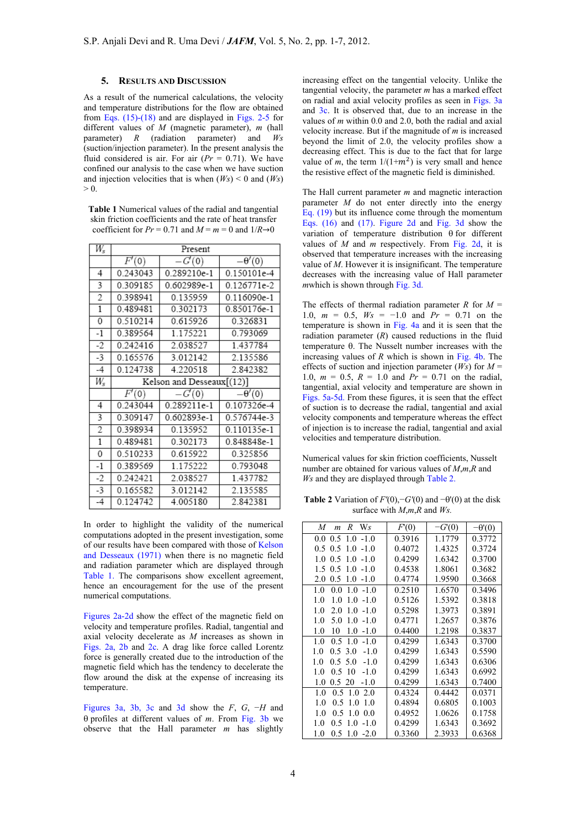## **5. RESULTS AND DISCUSSION**

As a result of the numerical calculations, the velocity and temperature distributions for the flow are obtained from Eqs. (15)-(18) and are displayed in Figs. 2-5 for different values of *M* (magnetic parameter), *m* (hall parameter) *R* (radiation parameter) and *Ws*  (suction/injection parameter). In the present analysis the fluid considered is air. For air  $(Pr = 0.71)$ . We have confined our analysis to the case when we have suction and injection velocities that is when  $(W_s) < 0$  and  $(W_s)$  $> 0.$ 

**Table 1** Numerical values of the radial and tangential skin friction coefficients and the rate of heat transfer coefficient for  $Pr = 0.71$  and  $M = m = 0$  and  $1/R \rightarrow 0$ 

| W,             | Present            |                           |               |  |
|----------------|--------------------|---------------------------|---------------|--|
|                | $\overline{F}'(0)$ | $-G'(0)$                  | $-\theta'(0)$ |  |
| 4              | 0.243043           | 0.289210e-1               | 0.150101e-4   |  |
| 3              | 0.309185           | 0.602989e-1               | 0.126771e-2   |  |
| $\overline{2}$ | 0.398941           | 0.135959                  | 0.116090e-1   |  |
| 1              | 0.489481           | 0.302173                  | 0.850176e-1   |  |
| 0              | 0.510214           | 0.615926                  | 0.326831      |  |
| $-1$           | 0.389564           | 1.175221                  | 0.793069      |  |
| $-2$           | 0.242416           | 2.038527                  | 1.437784      |  |
| -3             | 0.165576           | 3.012142                  | 2.135586      |  |
| $-4$           | 0.124738           | 4.220518                  | 2.842382      |  |
|                |                    |                           |               |  |
| $W_s$          |                    | Kelson and Desseaux[(12)] |               |  |
|                | F'(0)              | $-G'(0)$                  | $-\theta'(0)$ |  |
| 4              | 0.243044           | 0.289211e-1               | 0.107326e-4   |  |
| 3              | 0.309147           | 0.602893e-1               | 0.576744e-3   |  |
| 2              | 0.398934           | 0.135952                  | $0.110135e-1$ |  |
| $\overline{1}$ | 0.489481           | 0.302173                  | 0.848848e-1   |  |
| 0              | 0.510233           | 0.615922                  | 0.325856      |  |
| $-1$           | 0.389569           | 1.175222                  | 0.793048      |  |
| $-2$           | 0.242421           | 2.038527                  | 1.437782      |  |
| -3<br>$-4$     | 0.165582           | 3.012142                  | 2.135585      |  |

In order to highlight the validity of the numerical computations adopted in the present investigation, some of our results have been compared with those of Kelson and Desseaux (1971) when there is no magnetic field and radiation parameter which are displayed through Table 1. The comparisons show excellent agreement, hence an encouragement for the use of the present numerical computations.

Figures 2a-2d show the effect of the magnetic field on velocity and temperature profiles. Radial, tangential and axial velocity decelerate as *M* increases as shown in Figs. 2a, 2b and 2c. A drag like force called Lorentz force is generally created due to the introduction of the magnetic field which has the tendency to decelerate the flow around the disk at the expense of increasing its temperature.

Figures 3a, 3b, 3c and 3d show the *F*, *G*, −*H* and  $\theta$  profiles at different values of *m*. From Fig. 3b we observe that the Hall parameter *m* has slightly

increasing effect on the tangential velocity. Unlike the tangential velocity, the parameter *m* has a marked effect on radial and axial velocity profiles as seen in Figs. 3a and 3c. It is observed that, due to an increase in the values of *m* within 0.0 and 2.0, both the radial and axial velocity increase. But if the magnitude of *m* is increased beyond the limit of 2.0, the velocity profiles show a decreasing effect. This is due to the fact that for large value of  $m$ , the term  $1/(1+m^2)$  is very small and hence the resistive effect of the magnetic field is diminished.

The Hall current parameter *m* and magnetic interaction parameter *M* do not enter directly into the energy Eq. (19) but its influence come through the momentum Eqs. (16) and (17). Figure 2d and Fig. 3d show the variation of temperature distribution  $\theta$  for different values of *M* and *m* respectively. From Fig. 2d, it is observed that temperature increases with the increasing value of *M*. However it is insignificant. The temperature decreases with the increasing value of Hall parameter *m*which is shown through Fig. 3d.

The effects of thermal radiation parameter  $R$  for  $M =$ 1.0,  $m = 0.5$ ,  $W_s = -1.0$  and  $Pr = 0.71$  on the temperature is shown in Fig. 4a and it is seen that the radiation parameter  $(R)$  caused reductions in the fluid temperature  $\theta$ . The Nusselt number increases with the increasing values of *R* which is shown in Fig. 4b. The effects of suction and injection parameter (*Ws*) for *M* = 1.0,  $m = 0.5$ ,  $R = 1.0$  and  $Pr = 0.71$  on the radial, tangential, axial velocity and temperature are shown in Figs. 5a-5d. From these figures, it is seen that the effect of suction is to decrease the radial, tangential and axial velocity components and temperature whereas the effect of injection is to increase the radial, tangential and axial velocities and temperature distribution.

Numerical values for skin friction coefficients, Nusselt number are obtained for various values of *M*,*m*,*R* and *Ws* and they are displayed through Table 2.

**Table 2** Variation of  $F'(0)$ , − $G'(0)$  and − $\theta'(0)$  at the disk surface with *M*,*m*,*R* and *Ws.* 

| W <sub>s</sub><br>M<br>R<br>$\mathfrak{m}$ | F(0)   | $-G(0)$ | $-\theta(0)$ |
|--------------------------------------------|--------|---------|--------------|
| 0.0<br>1.0<br>$-1.0$<br>0.5                | 0.3916 | 1.1779  | 0.3772       |
| 1.0<br>$-1.0$<br>0.5<br>0.5                | 0.4072 | 1.4325  | 0.3724       |
| 1.0<br>0.5<br>1.0<br>$-1.0$                | 0.4299 | 1.6342  | 0.3700       |
| 1.5<br>0.5<br>1.0<br>$-1.0$                | 0.4538 | 1.8061  | 0.3682       |
| 0.5<br>1.0<br>$-1.0$<br>2.0                | 0.4774 | 1.9590  | 0.3668       |
| 1.0<br>0.0<br>1.0<br>$-1.0$                | 0.2510 | 1.6570  | 0.3496       |
| 1.0<br>$-1.0$<br>1.0<br>1.0                | 0.5126 | 1.5392  | 0.3818       |
| 1.0<br>2.0<br>$-1.0$<br>1.0                | 0.5298 | 1.3973  | 0.3891       |
| 1.0<br>5.0<br>1.0<br>$-1.0$                | 0.4771 | 1.2657  | 0.3876       |
| 1.0<br>10<br>1.0<br>$-1.0$                 | 0.4400 | 1.2198  | 0.3837       |
| 1.0<br>0.5<br>1.0<br>$-1.0$                | 0.4299 | 1.6343  | 0.3700       |
| 1.0<br>0.5, 3.0<br>$-1.0$                  | 0.4299 | 1.6343  | 0.5590       |
| 1.0<br>5.0<br>$-1.0$<br>0.5                | 0.4299 | 1.6343  | 0.6306       |
| 1.0<br>0.5<br>10<br>$-1.0$                 | 0.4299 | 1.6343  | 0.6992       |
| 1.0<br>0.520<br>$-1.0$                     | 0.4299 | 1.6343  | 0.7400       |
| 1.0<br>0.5<br>1.0<br>2.0                   | 0.4324 | 0.4442  | 0.0371       |
| 1.0<br>0.5<br>1.0<br>1.0                   | 0.4894 | 0.6805  | 0.1003       |
| 1.0<br>0.5<br>1.0<br>0.0                   | 0.4952 | 1.0626  | 0.1758       |
| 1.0<br>0.5<br>$-1.0$<br>1.0                | 0.4299 | 1.6343  | 0.3692       |
| 1.0<br>0.5<br>$-2.0$<br>1.0                | 0.3360 | 2.3933  | 0.6368       |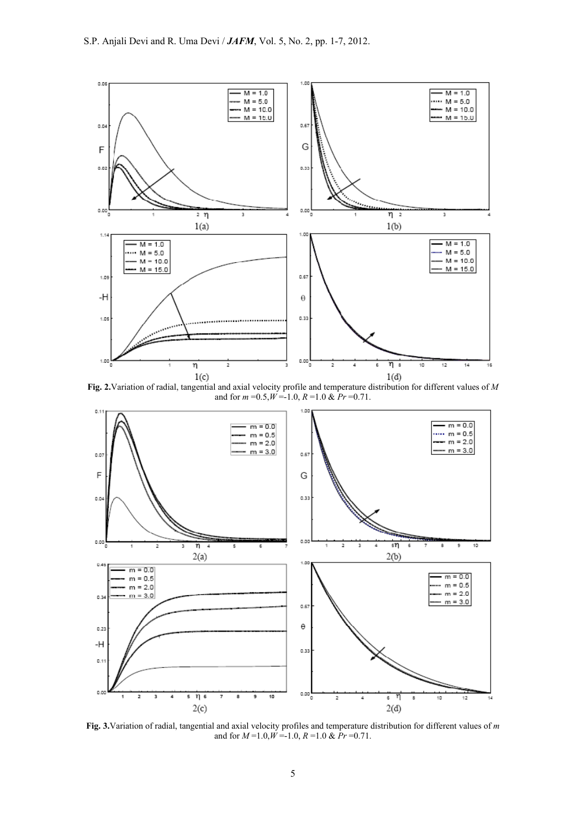

**Fig. 2.**Variation of radial, tangential and axial velocity profile and temperature distribution for different values of *M*  and for  $m = 0.5, W = -1.0, R = 1.0$  &  $Pr = 0.71$ .



**Fig. 3.**Variation of radial, tangential and axial velocity profiles and temperature distribution for different values of *m*  and for  $M = 1.0, W = -1.0, R = 1.0$  &  $\dot{P}r = 0.71$ .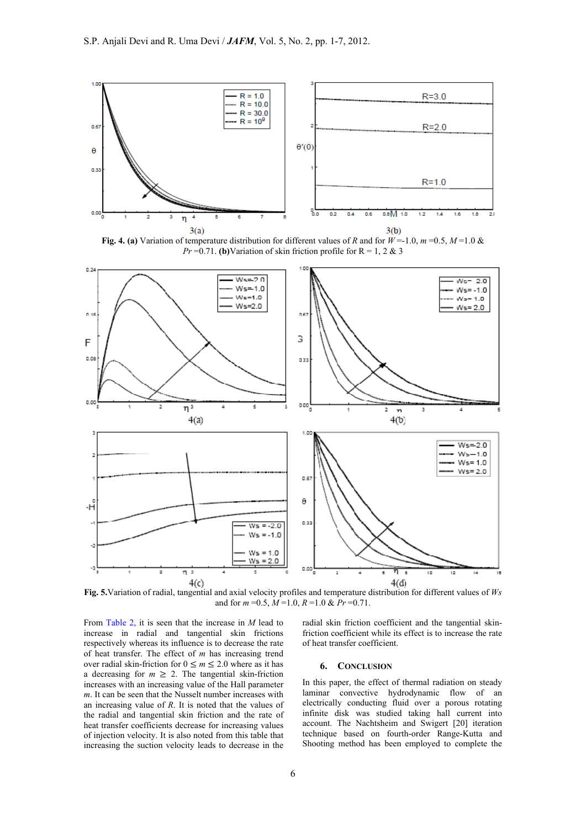

**Fig. 4. (a)** Variation of temperature distribution for different values of *R* and for  $W = -1.0$ ,  $m = 0.5$ ,  $M = 1.0$  & *Pr* = 0.71. **(b)** Variation of skin friction profile for  $R = 1, 2 \& 3$ 



and for  $m = 0.5$ ,  $M = 1.0$ ,  $R = 1.0$  &  $Pr = 0.71$ .

From Table 2, it is seen that the increase in *M* lead to increase in radial and tangential skin frictions respectively whereas its influence is to decrease the rate of heat transfer. The effect of *m* has increasing trend over radial skin-friction for  $0 \le m \le 2.0$  where as it has a decreasing for  $m \geq 2$ . The tangential skin-friction increases with an increasing value of the Hall parameter *m*. It can be seen that the Nusselt number increases with an increasing value of *R*. It is noted that the values of the radial and tangential skin friction and the rate of heat transfer coefficients decrease for increasing values of injection velocity. It is also noted from this table that increasing the suction velocity leads to decrease in the

radial skin friction coefficient and the tangential skinfriction coefficient while its effect is to increase the rate of heat transfer coefficient.

## **6. CONCLUSION**

In this paper, the effect of thermal radiation on steady laminar convective hydrodynamic flow of an electrically conducting fluid over a porous rotating infinite disk was studied taking hall current into account. The Nachtsheim and Swigert [20] iteration technique based on fourth-order Range-Kutta and Shooting method has been employed to complete the